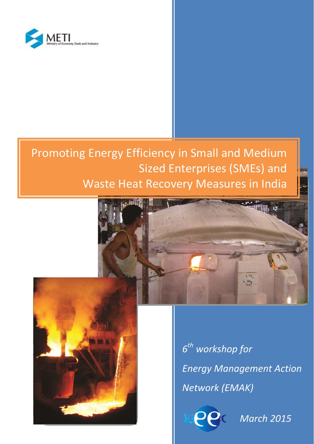

# Promoting Energy Efficiency in Small and Medium Sized Enterprises (SMEs) and Waste Heat Recovery Measures in India





*6th workshop for Energy Management Action Network (EMAK)*



*March 2015*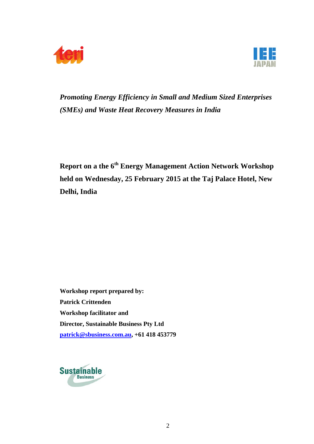



*Promoting Energy Efficiency in Small and Medium Sized Enterprises (SMEs) and Waste Heat Recovery Measures in India* 

**Report on a the 6th Energy Management Action Network Workshop held on Wednesday, 25 February 2015 at the Taj Palace Hotel, New Delhi, India** 

**Workshop report prepared by: Patrick Crittenden Workshop facilitator and Director, Sustainable Business Pty Ltd patrick@sbusiness.com.au, +61 418 453779** 

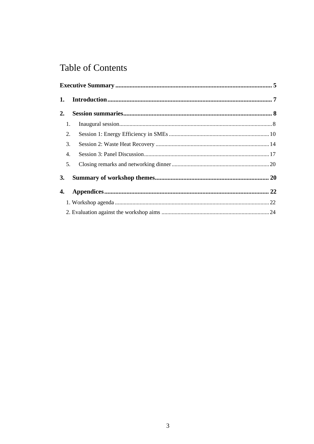## **Table of Contents**

| 1.               |  |  |  |
|------------------|--|--|--|
| 2.               |  |  |  |
| 1.               |  |  |  |
| 2.               |  |  |  |
| 3.               |  |  |  |
| $\overline{4}$ . |  |  |  |
| 5.               |  |  |  |
| 3.               |  |  |  |
| 4.               |  |  |  |
|                  |  |  |  |
|                  |  |  |  |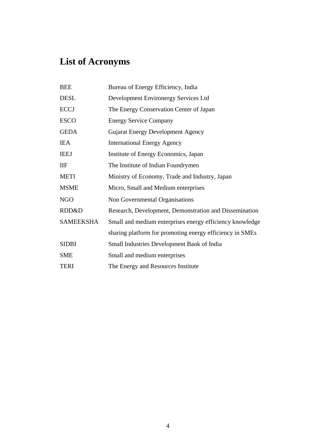# **List of Acronyms**

| <b>BEE</b>       | Bureau of Energy Efficiency, India                       |
|------------------|----------------------------------------------------------|
| <b>DESL</b>      | Development Environergy Services Ltd                     |
| <b>ECCJ</b>      | The Energy Conservation Center of Japan                  |
| <b>ESCO</b>      | <b>Energy Service Company</b>                            |
| <b>GEDA</b>      | <b>Gujarat Energy Development Agency</b>                 |
| <b>IEA</b>       | <b>International Energy Agency</b>                       |
| <b>IEEJ</b>      | Institute of Energy Economics, Japan                     |
| IIF              | The Institute of Indian Foundrymen                       |
| <b>METI</b>      | Ministry of Economy, Trade and Industry, Japan           |
| <b>MSME</b>      | Micro, Small and Medium enterprises                      |
| <b>NGO</b>       | Non Governmental Organisations                           |
| RDD&D            | Research, Development, Demonstration and Dissemination   |
| <b>SAMEEKSHA</b> | Small and medium enterprises energy efficiency knowledge |
|                  | sharing platform for promoting energy efficiency in SMEs |
| <b>SIDBI</b>     | <b>Small Industries Development Bank of India</b>        |
| <b>SME</b>       | Small and medium enterprises                             |
| <b>TERI</b>      | The Energy and Resources Institute                       |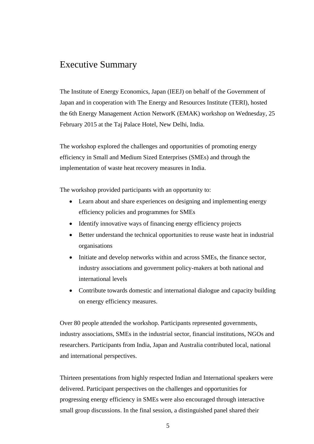## Executive Summary

The Institute of Energy Economics, Japan (IEEJ) on behalf of the Government of Japan and in cooperation with The Energy and Resources Institute (TERI), hosted the 6th Energy Management Action NetworK (EMAK) workshop on Wednesday, 25 February 2015 at the Taj Palace Hotel, New Delhi, India.

The workshop explored the challenges and opportunities of promoting energy efficiency in Small and Medium Sized Enterprises (SMEs) and through the implementation of waste heat recovery measures in India.

The workshop provided participants with an opportunity to:

- Learn about and share experiences on designing and implementing energy efficiency policies and programmes for SMEs
- Identify innovative ways of financing energy efficiency projects
- Better understand the technical opportunities to reuse waste heat in industrial organisations
- Initiate and develop networks within and across SMEs, the finance sector, industry associations and government policy-makers at both national and international levels
- Contribute towards domestic and international dialogue and capacity building on energy efficiency measures.

Over 80 people attended the workshop. Participants represented governments, industry associations, SMEs in the industrial sector, financial institutions, NGOs and researchers. Participants from India, Japan and Australia contributed local, national and international perspectives.

Thirteen presentations from highly respected Indian and International speakers were delivered. Participant perspectives on the challenges and opportunities for progressing energy efficiency in SMEs were also encouraged through interactive small group discussions. In the final session, a distinguished panel shared their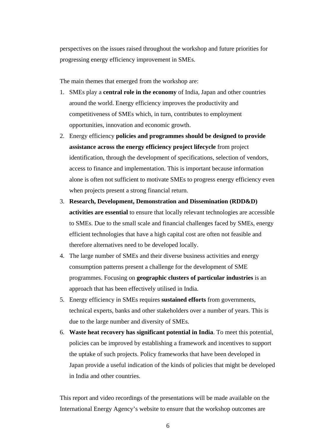perspectives on the issues raised throughout the workshop and future priorities for progressing energy efficiency improvement in SMEs.

The main themes that emerged from the workshop are:

- 1. SMEs play a **central role in the economy** of India, Japan and other countries around the world. Energy efficiency improves the productivity and competitiveness of SMEs which, in turn, contributes to employment opportunities, innovation and economic growth.
- 2. Energy efficiency **policies and programmes should be designed to provide assistance across the energy efficiency project lifecycle** from project identification, through the development of specifications, selection of vendors, access to finance and implementation. This is important because information alone is often not sufficient to motivate SMEs to progress energy efficiency even when projects present a strong financial return.
- 3. **Research, Development, Demonstration and Dissemination (RDD&D) activities are essential** to ensure that locally relevant technologies are accessible to SMEs. Due to the small scale and financial challenges faced by SMEs, energy efficient technologies that have a high capital cost are often not feasible and therefore alternatives need to be developed locally.
- 4. The large number of SMEs and their diverse business activities and energy consumption patterns present a challenge for the development of SME programmes. Focusing on **geographic clusters of particular industries** is an approach that has been effectively utilised in India.
- 5. Energy efficiency in SMEs requires **sustained efforts** from governments, technical experts, banks and other stakeholders over a number of years. This is due to the large number and diversity of SMEs.
- 6. **Waste heat recovery has significant potential in India**. To meet this potential, policies can be improved by establishing a framework and incentives to support the uptake of such projects. Policy frameworks that have been developed in Japan provide a useful indication of the kinds of policies that might be developed in India and other countries.

This report and video recordings of the presentations will be made available on the International Energy Agency's website to ensure that the workshop outcomes are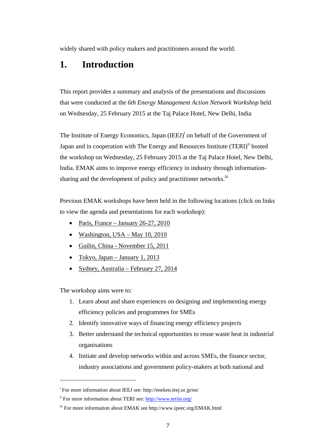widely shared with policy makers and practitioners around the world.

## **1. Introduction**

This report provides a summary and analysis of the presentations and discussions that were conducted at the *6th Energy Management Action Network Workshop* held on Wednesday, 25 February 2015 at the Taj Palace Hotel, New Delhi, India

The Institute of Energy Economics, Japan (IEEJ)<sup>i</sup> on behalf of the Government of Japan and in cooperation with The Energy and Resources Institute (TERI)<sup>ii</sup> hosted the workshop on Wednesday, 25 February 2015 at the Taj Palace Hotel, New Delhi, India. EMAK aims to improve energy efficiency in industry through informationsharing and the development of policy and practitioner networks.<sup>iii</sup>

Previous EMAK workshops have been held in the following locations (click on links to view the agenda and presentations for each workshop):

- Paris, France January 26-27, 2010
- Washington, USA May 10, 2010
- Guilin, China November 15, 2011
- Tokyo, Japan January 1, 2013
- Sydney, Australia February 27, 2014

The workshop aims were to:

 $\overline{a}$ 

- 1. Learn about and share experiences on designing and implementing energy efficiency policies and programmes for SMEs
- 2. Identify innovative ways of financing energy efficiency projects
- 3. Better understand the technical opportunities to reuse waste heat in industrial organisations
- 4. Initiate and develop networks within and across SMEs, the finance sector, industry associations and government policy-makers at both national and

<sup>&</sup>lt;sup>i</sup> For more information about IEEJ see: http://eneken.ieej.or.jp/en/

ii For more information about TERI see: http://www.teriin.org/

iii For more information about EMAK see http://www.ipeec.org/EMAK.html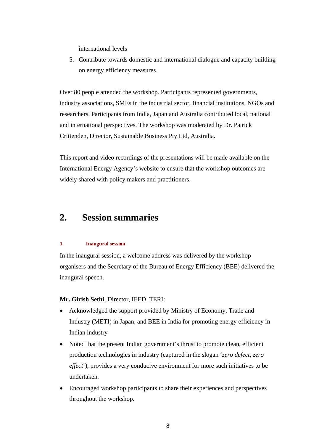international levels

5. Contribute towards domestic and international dialogue and capacity building on energy efficiency measures.

Over 80 people attended the workshop. Participants represented governments, industry associations, SMEs in the industrial sector, financial institutions, NGOs and researchers. Participants from India, Japan and Australia contributed local, national and international perspectives. The workshop was moderated by Dr. Patrick Crittenden, Director, Sustainable Business Pty Ltd, Australia.

This report and video recordings of the presentations will be made available on the International Energy Agency's website to ensure that the workshop outcomes are widely shared with policy makers and practitioners.

## **2. Session summaries**

#### **1. Inaugural session**

In the inaugural session, a welcome address was delivered by the workshop organisers and the Secretary of the Bureau of Energy Efficiency (BEE) delivered the inaugural speech.

#### **Mr. Girish Sethi**, Director, IEED, TERI:

- Acknowledged the support provided by Ministry of Economy, Trade and Industry (METI) in Japan, and BEE in India for promoting energy efficiency in Indian industry
- Noted that the present Indian government's thrust to promote clean, efficient production technologies in industry (captured in the slogan '*zero defect, zero effect*'), provides a very conducive environment for more such initiatives to be undertaken.
- Encouraged workshop participants to share their experiences and perspectives throughout the workshop.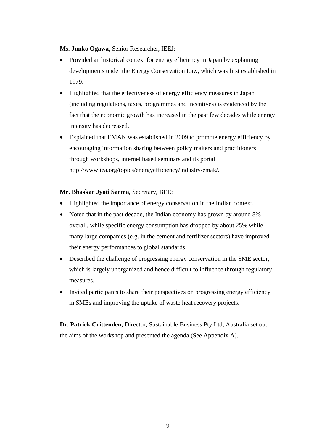**Ms. Junko Ogawa**, Senior Researcher, IEEJ:

- Provided an historical context for energy efficiency in Japan by explaining developments under the Energy Conservation Law, which was first established in 1979.
- Highlighted that the effectiveness of energy efficiency measures in Japan (including regulations, taxes, programmes and incentives) is evidenced by the fact that the economic growth has increased in the past few decades while energy intensity has decreased.
- Explained that EMAK was established in 2009 to promote energy efficiency by encouraging information sharing between policy makers and practitioners through workshops, internet based seminars and its portal http://www.iea.org/topics/energyefficiency/industry/emak/.

**Mr. Bhaskar Jyoti Sarma**, Secretary, BEE:

- Highlighted the importance of energy conservation in the Indian context.
- Noted that in the past decade, the Indian economy has grown by around 8% overall, while specific energy consumption has dropped by about 25% while many large companies (e.g. in the cement and fertilizer sectors) have improved their energy performances to global standards.
- Described the challenge of progressing energy conservation in the SME sector, which is largely unorganized and hence difficult to influence through regulatory measures.
- Invited participants to share their perspectives on progressing energy efficiency in SMEs and improving the uptake of waste heat recovery projects.

**Dr. Patrick Crittenden,** Director, Sustainable Business Pty Ltd, Australia set out the aims of the workshop and presented the agenda (See Appendix A).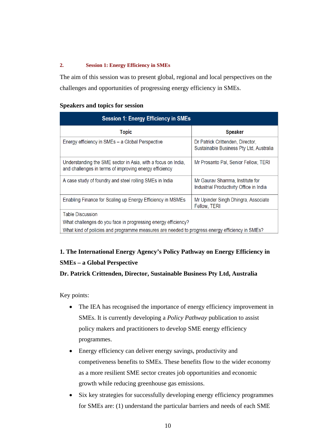#### **2. Session 1: Energy Efficiency in SMEs**

The aim of this session was to present global, regional and local perspectives on the challenges and opportunities of progressing energy efficiency in SMEs.

#### **Speakers and topics for session**

| <b>Session 1: Energy Efficiency in SMEs</b>                                                                            |                                                                             |  |  |
|------------------------------------------------------------------------------------------------------------------------|-----------------------------------------------------------------------------|--|--|
| <b>Topic</b>                                                                                                           | <b>Speaker</b>                                                              |  |  |
| Energy efficiency in SMEs - a Global Perspective                                                                       | Dr Patrick Crittenden, Director,<br>Sustainable Business Pty Ltd, Australia |  |  |
| Understanding the SME sector in Asia, with a focus on India,<br>and challenges in terms of improving energy efficiency | Mr Prosanto Pal, Senior Fellow, TERI                                        |  |  |
| A case study of foundry and steel rolling SMEs in India                                                                | Mr Gauray Sharrma, Institute for<br>Industrial Productivity Office in India |  |  |
| Enabling Finance for Scaling up Energy Efficiency in MSMEs                                                             | Mr Upinder Singh Dhingra, Associate<br>Fellow, TERI                         |  |  |
| Table Discussion                                                                                                       |                                                                             |  |  |
| What challenges do you face in progressing energy efficiency?                                                          |                                                                             |  |  |
| What kind of policies and programme measures are needed to progress energy efficiency in SMEs?                         |                                                                             |  |  |

## **1. The International Energy Agency's Policy Pathway on Energy Efficiency in SMEs – a Global Perspective**

#### **Dr. Patrick Crittenden, Director, Sustainable Business Pty Ltd, Australia**

- The IEA has recognised the importance of energy efficiency improvement in SMEs. It is currently developing a *Policy Pathway* publication to assist policy makers and practitioners to develop SME energy efficiency programmes.
- Energy efficiency can deliver energy savings, productivity and competiveness benefits to SMEs. These benefits flow to the wider economy as a more resilient SME sector creates job opportunities and economic growth while reducing greenhouse gas emissions.
- Six key strategies for successfully developing energy efficiency programmes for SMEs are: (1) understand the particular barriers and needs of each SME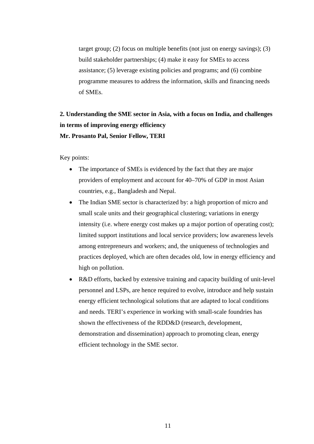target group; (2) focus on multiple benefits (not just on energy savings); (3) build stakeholder partnerships; (4) make it easy for SMEs to access assistance; (5) leverage existing policies and programs; and (6) combine programme measures to address the information, skills and financing needs of SMEs.

## **2. Understanding the SME sector in Asia, with a focus on India, and challenges in terms of improving energy efficiency Mr. Prosanto Pal, Senior Fellow, TERI**

- The importance of SMEs is evidenced by the fact that they are major providers of employment and account for 40–70% of GDP in most Asian countries, e.g., Bangladesh and Nepal.
- The Indian SME sector is characterized by: a high proportion of micro and small scale units and their geographical clustering; variations in energy intensity (i.e. where energy cost makes up a major portion of operating cost); limited support institutions and local service providers; low awareness levels among entrepreneurs and workers; and, the uniqueness of technologies and practices deployed, which are often decades old, low in energy efficiency and high on pollution.
- R&D efforts, backed by extensive training and capacity building of unit-level personnel and LSPs, are hence required to evolve, introduce and help sustain energy efficient technological solutions that are adapted to local conditions and needs. TERI's experience in working with small-scale foundries has shown the effectiveness of the RDD&D (research, development, demonstration and dissemination) approach to promoting clean, energy efficient technology in the SME sector.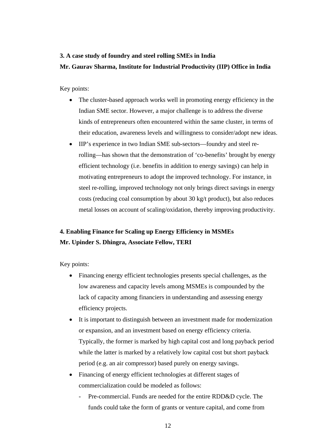## **3. A case study of foundry and steel rolling SMEs in India Mr. Gaurav Sharma, Institute for Industrial Productivity (IIP) Office in India**

Key points:

- The cluster-based approach works well in promoting energy efficiency in the Indian SME sector. However, a major challenge is to address the diverse kinds of entrepreneurs often encountered within the same cluster, in terms of their education, awareness levels and willingness to consider/adopt new ideas.
- IIP's experience in two Indian SME sub-sectors—foundry and steel rerolling—has shown that the demonstration of 'co-benefits' brought by energy efficient technology (i.e. benefits in addition to energy savings) can help in motivating entrepreneurs to adopt the improved technology. For instance, in steel re-rolling, improved technology not only brings direct savings in energy costs (reducing coal consumption by about 30 kg/t product), but also reduces metal losses on account of scaling/oxidation, thereby improving productivity.

#### **4. Enabling Finance for Scaling up Energy Efficiency in MSMEs Mr. Upinder S. Dhingra, Associate Fellow, TERI**

- Financing energy efficient technologies presents special challenges, as the low awareness and capacity levels among MSMEs is compounded by the lack of capacity among financiers in understanding and assessing energy efficiency projects.
- It is important to distinguish between an investment made for modernization or expansion, and an investment based on energy efficiency criteria. Typically, the former is marked by high capital cost and long payback period while the latter is marked by a relatively low capital cost but short payback period (e.g. an air compressor) based purely on energy savings.
- Financing of energy efficient technologies at different stages of commercialization could be modeled as follows:
	- Pre-commercial. Funds are needed for the entire RDD&D cycle. The funds could take the form of grants or venture capital, and come from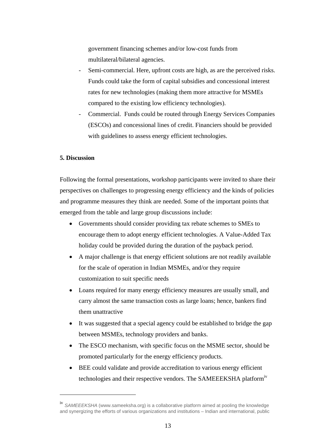government financing schemes and/or low-cost funds from multilateral/bilateral agencies.

- Semi-commercial. Here, upfront costs are high, as are the perceived risks. Funds could take the form of capital subsidies and concessional interest rates for new technologies (making them more attractive for MSMEs compared to the existing low efficiency technologies).
- Commercial. Funds could be routed through Energy Services Companies (ESCOs) and concessional lines of credit. Financiers should be provided with guidelines to assess energy efficient technologies.

#### **5. Discussion**

 $\overline{a}$ 

Following the formal presentations, workshop participants were invited to share their perspectives on challenges to progressing energy efficiency and the kinds of policies and programme measures they think are needed. Some of the important points that emerged from the table and large group discussions include:

- Governments should consider providing tax rebate schemes to SMEs to encourage them to adopt energy efficient technologies. A Value-Added Tax holiday could be provided during the duration of the payback period.
- A major challenge is that energy efficient solutions are not readily available for the scale of operation in Indian MSMEs, and/or they require customization to suit specific needs
- Loans required for many energy efficiency measures are usually small, and carry almost the same transaction costs as large loans; hence, bankers find them unattractive
- It was suggested that a special agency could be established to bridge the gap between MSMEs, technology providers and banks.
- The ESCO mechanism, with specific focus on the MSME sector, should be promoted particularly for the energy efficiency products.
- BEE could validate and provide accreditation to various energy efficient technologies and their respective vendors. The SAMEEEKSHA platformiv

iv *SAMEEEKSHA* (www.sameeksha.org) is a collaborative platform aimed at pooling the knowledge and synergizing the efforts of various organizations and institutions – Indian and international, public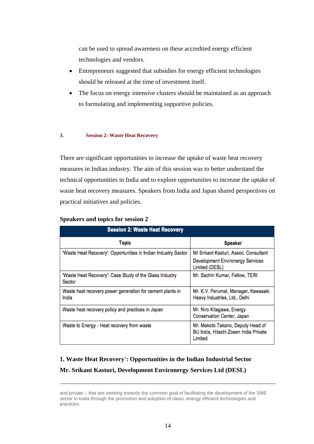can be used to spread awareness on these accredited energy efficient technologies and vendors.

- Entrepreneurs suggested that subsidies for energy efficient technologies should be released at the time of investment itself.
- The focus on energy intensive clusters should be maintained as an approach to formulating and implementing supportive policies.

#### **3. Session 2: Waste Heat Recovery**

There are significant opportunities to increase the uptake of waste heat recovery measures in Indian industry. The aim of this session was to better understand the technical opportunities in India and to explore opportunities to increase the uptake of waste heat recovery measures. Speakers from India and Japan shared perspectives on practical initiatives and policies.

| <b>Session 2: Waste Heat Recovery</b>                              |                                                                                       |  |
|--------------------------------------------------------------------|---------------------------------------------------------------------------------------|--|
| <b>Topic</b>                                                       | <b>Speaker</b>                                                                        |  |
| "Waste Heat Recovery": Opportunities in Indian Industry Sector     | Mr Srikant Kasturi, Assoc. Consultant                                                 |  |
|                                                                    | <b>Development Environergy Services</b><br>Limited (DESL)                             |  |
| 'Waste Heat Recovery': Case Study of the Glass Industry<br>Sector  | Mr. Sachin Kumar, Fellow, TERI                                                        |  |
| Waste heat recovery power generation for cement plants in<br>India | Mr. K.V. Perumal, Manager, Kawasaki<br>Heavy Industries, Ltd., Delhi                  |  |
| Waste heat recovery policy and practices in Japan                  | Mr. Niro Kitagawa, Energy<br>Conservation Center, Japan                               |  |
| Waste to Energy - Heat recovery from waste                         | Mr. Makoto Takano, Deputy Head of<br>BU India, Hitachi Zosen India Private<br>Limited |  |

#### **Speakers and topics for session 2**

 $\overline{a}$ 

# **1. Waste Heat Recovery': Opportunities in the Indian Industrial Sector**

#### **Mr. Srikant Kasturi, Development Environergy Services Ltd (DESL)**

and private – that are working towards the common goal of facilitating the development of the SME sector in India through the promotion and adoption of clean, energy efficient technologies and practices.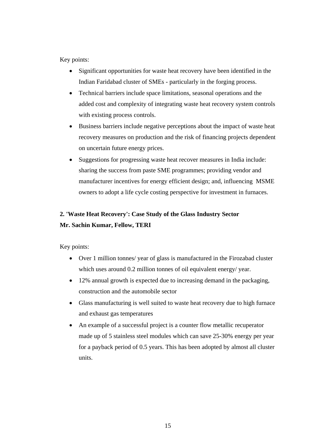Key points:

- Significant opportunities for waste heat recovery have been identified in the Indian Faridabad cluster of SMEs - particularly in the forging process.
- Technical barriers include space limitations, seasonal operations and the added cost and complexity of integrating waste heat recovery system controls with existing process controls.
- Business barriers include negative perceptions about the impact of waste heat recovery measures on production and the risk of financing projects dependent on uncertain future energy prices.
- Suggestions for progressing waste heat recover measures in India include: sharing the success from paste SME programmes; providing vendor and manufacturer incentives for energy efficient design; and, influencing MSME owners to adopt a life cycle costing perspective for investment in furnaces.

## **2. 'Waste Heat Recovery': Case Study of the Glass Industry Sector Mr. Sachin Kumar, Fellow, TERI**

- Over 1 million tonnes/ year of glass is manufactured in the Firozabad cluster which uses around 0.2 million tonnes of oil equivalent energy/ year.
- 12% annual growth is expected due to increasing demand in the packaging, construction and the automobile sector
- Glass manufacturing is well suited to waste heat recovery due to high furnace and exhaust gas temperatures
- An example of a successful project is a counter flow metallic recuperator made up of 5 stainless steel modules which can save 25-30% energy per year for a payback period of 0.5 years. This has been adopted by almost all cluster units.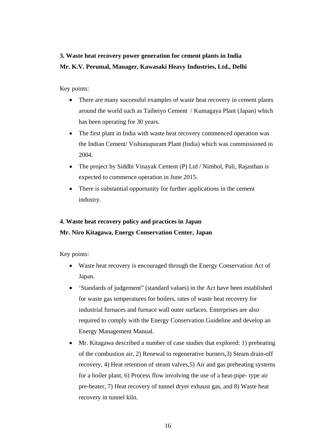### **3. Waste heat recovery power generation for cement plants in India Mr. K.V. Perumal, Manager, Kawasaki Heavy Industries, Ltd., Delhi**

#### Key points:

- There are many successful examples of waste heat recovery in cement plants around the world such as Taiheiyo Cement / Kumagaya Plant (Japan) which has been operating for 30 years.
- The first plant in India with waste heat recovery commenced operation was the Indian Cement/ Vishunupuram Plant (India) which was commissioned in 2004.
- The project by Siddhi Vinayak Cement (P) Ltd / Nimbol, Pali, Rajasthan is expected to commence operation in June 2015.
- There is substantial opportunity for further applications in the cement industry.

## **4. Waste heat recovery policy and practices in Japan Mr. Niro Kitagawa, Energy Conservation Center, Japan**

- Waste heat recovery is encouraged through the Energy Conservation Act of Japan.
- 'Standards of judgement" (standard values) in the Act have been established for waste gas temperatures for boilers, rates of waste heat recovery for industrial furnaces and furnace wall outer surfaces. Enterprises are also required to comply with the Energy Conservation Guideline and develop an Energy Management Manual.
- Mr. Kitagawa described a number of case studies that explored: 1) preheating of the combustion air, 2) Renewal to regenerative burners,3) Steam drain-off recovery, 4) Heat retention of steam valves,5) Air and gas preheating systems for a boiler plant, 6) Process flow involving the use of a heat-pipe- type air pre-heater, 7) Heat recovery of tunnel dryer exhaust gas, and 8) Waste heat recovery in tunnel kiln.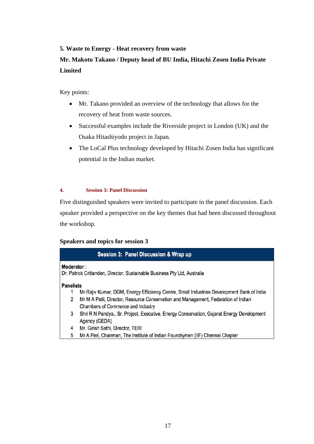#### **5. Waste to Energy - Heat recovery from waste**

#### **Mr. Makoto Takano / Deputy head of BU India, Hitachi Zosen India Private Limited**

Key points:

- Mr. Takano provided an overview of the technology that allows for the recovery of heat from waste sources.
- Successful examples include the Riverside project in London (UK) and the Osaka Hitashiyodo project in Japan.
- The LoCal Plus technology developed by Hitachi Zosen India has significant potential in the Indian market.

**4. Session 3: Panel Discussion** 

Five distinguished speakers were invited to participate in the panel discussion. Each speaker provided a perspective on the key themes that had been discussed throughout the workshop.

#### **Speakers and topics for session 3**

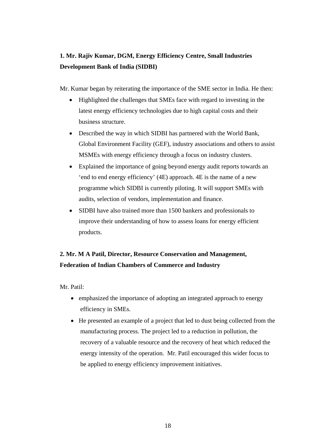## **1. Mr. Rajiv Kumar, DGM, Energy Efficiency Centre, Small Industries Development Bank of India (SIDBI)**

Mr. Kumar began by reiterating the importance of the SME sector in India. He then:

- Highlighted the challenges that SMEs face with regard to investing in the latest energy efficiency technologies due to high capital costs and their business structure.
- Described the way in which SIDBI has partnered with the World Bank, Global Environment Facility (GEF), industry associations and others to assist MSMEs with energy efficiency through a focus on industry clusters.
- Explained the importance of going beyond energy audit reports towards an 'end to end energy efficiency' (4E) approach. 4E is the name of a new programme which SIDBI is currently piloting. It will support SMEs with audits, selection of vendors, implementation and finance.
- SIDBI have also trained more than 1500 bankers and professionals to improve their understanding of how to assess loans for energy efficient products.

## **2. Mr. M A Patil, Director, Resource Conservation and Management, Federation of Indian Chambers of Commerce and Industry**

Mr. Patil:

- emphasized the importance of adopting an integrated approach to energy efficiency in SMEs.
- He presented an example of a project that led to dust being collected from the manufacturing process. The project led to a reduction in pollution, the recovery of a valuable resource and the recovery of heat which reduced the energy intensity of the operation. Mr. Patil encouraged this wider focus to be applied to energy efficiency improvement initiatives.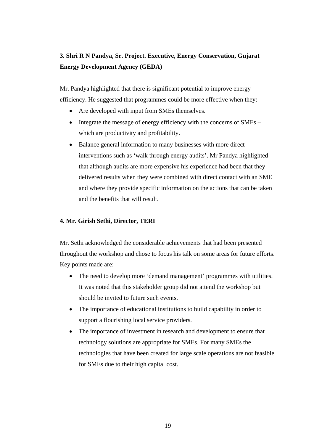### **3. Shri R N Pandya, Sr. Project. Executive, Energy Conservation, Gujarat Energy Development Agency (GEDA)**

Mr. Pandya highlighted that there is significant potential to improve energy efficiency. He suggested that programmes could be more effective when they:

- Are developed with input from SMEs themselves.
- Integrate the message of energy efficiency with the concerns of  $\text{SMEs}$  which are productivity and profitability.
- Balance general information to many businesses with more direct interventions such as 'walk through energy audits'. Mr Pandya highlighted that although audits are more expensive his experience had been that they delivered results when they were combined with direct contact with an SME and where they provide specific information on the actions that can be taken and the benefits that will result.

#### **4. Mr. Girish Sethi, Director, TERI**

Mr. Sethi acknowledged the considerable achievements that had been presented throughout the workshop and chose to focus his talk on some areas for future efforts. Key points made are:

- The need to develop more 'demand management' programmes with utilities. It was noted that this stakeholder group did not attend the workshop but should be invited to future such events.
- The importance of educational institutions to build capability in order to support a flourishing local service providers.
- The importance of investment in research and development to ensure that technology solutions are appropriate for SMEs. For many SMEs the technologies that have been created for large scale operations are not feasible for SMEs due to their high capital cost.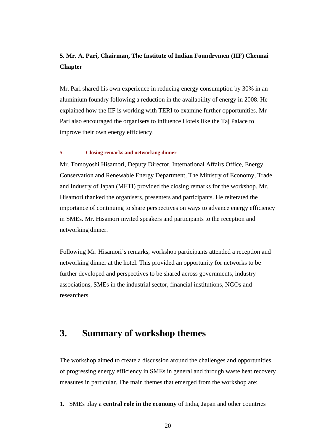#### **5. Mr. A. Pari, Chairman, The Institute of Indian Foundrymen (IIF) Chennai Chapter**

Mr. Pari shared his own experience in reducing energy consumption by 30% in an aluminium foundry following a reduction in the availability of energy in 2008. He explained how the IIF is working with TERI to examine further opportunities. Mr Pari also encouraged the organisers to influence Hotels like the Taj Palace to improve their own energy efficiency.

#### **5. Closing remarks and networking dinner**

Mr. Tomoyoshi Hisamori, Deputy Director, International Affairs Office, Energy Conservation and Renewable Energy Department, The Ministry of Economy, Trade and Industry of Japan (METI) provided the closing remarks for the workshop. Mr. Hisamori thanked the organisers, presenters and participants. He reiterated the importance of continuing to share perspectives on ways to advance energy efficiency in SMEs. Mr. Hisamori invited speakers and participants to the reception and networking dinner.

Following Mr. Hisamori's remarks, workshop participants attended a reception and networking dinner at the hotel. This provided an opportunity for networks to be further developed and perspectives to be shared across governments, industry associations, SMEs in the industrial sector, financial institutions, NGOs and researchers.

## **3. Summary of workshop themes**

The workshop aimed to create a discussion around the challenges and opportunities of progressing energy efficiency in SMEs in general and through waste heat recovery measures in particular. The main themes that emerged from the workshop are:

1. SMEs play a **central role in the economy** of India, Japan and other countries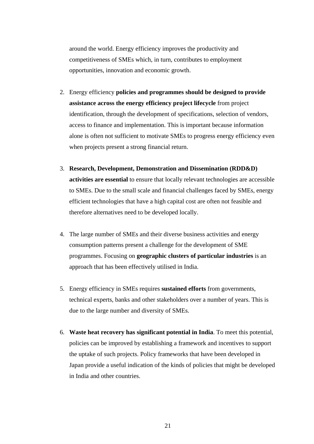around the world. Energy efficiency improves the productivity and competitiveness of SMEs which, in turn, contributes to employment opportunities, innovation and economic growth.

- 2. Energy efficiency **policies and programmes should be designed to provide assistance across the energy efficiency project lifecycle** from project identification, through the development of specifications, selection of vendors, access to finance and implementation. This is important because information alone is often not sufficient to motivate SMEs to progress energy efficiency even when projects present a strong financial return.
- 3. **Research, Development, Demonstration and Dissemination (RDD&D) activities are essential** to ensure that locally relevant technologies are accessible to SMEs. Due to the small scale and financial challenges faced by SMEs, energy efficient technologies that have a high capital cost are often not feasible and therefore alternatives need to be developed locally.
- 4. The large number of SMEs and their diverse business activities and energy consumption patterns present a challenge for the development of SME programmes. Focusing on **geographic clusters of particular industries** is an approach that has been effectively utilised in India.
- 5. Energy efficiency in SMEs requires **sustained efforts** from governments, technical experts, banks and other stakeholders over a number of years. This is due to the large number and diversity of SMEs.
- 6. **Waste heat recovery has significant potential in India**. To meet this potential, policies can be improved by establishing a framework and incentives to support the uptake of such projects. Policy frameworks that have been developed in Japan provide a useful indication of the kinds of policies that might be developed in India and other countries.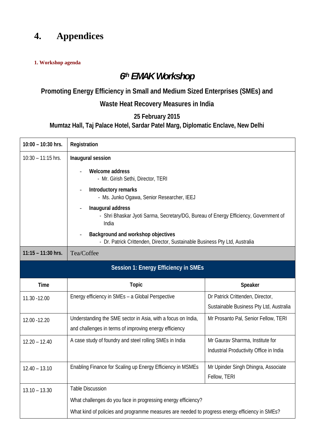## **4. Appendices**

#### **1. Workshop agenda**

## *6th EMAK Workshop*

## **Promoting Energy Efficiency in Small and Medium Sized Enterprises (SMEs) and**

## **Waste Heat Recovery Measures in India**

#### **25 February 2015**

#### **Mumtaz Hall, Taj Palace Hotel, Sardar Patel Marg, Diplomatic Enclave, New Delhi**

| 10:00 - 10:30 hrs.                                                                                                | Registration                                                                                                           |                                                                             |  |  |  |
|-------------------------------------------------------------------------------------------------------------------|------------------------------------------------------------------------------------------------------------------------|-----------------------------------------------------------------------------|--|--|--|
| $10:30 - 11:15$ hrs.                                                                                              | Inaugural session                                                                                                      |                                                                             |  |  |  |
|                                                                                                                   | Welcome address<br>- Mr. Girish Sethi, Director, TERI                                                                  |                                                                             |  |  |  |
|                                                                                                                   | Introductory remarks<br>- Ms. Junko Ogawa, Senior Researcher, IEEJ                                                     |                                                                             |  |  |  |
|                                                                                                                   | Inaugural address<br>- Shri Bhaskar Jyoti Sarma, Secretary/DG, Bureau of Energy Efficiency, Government of<br>India     |                                                                             |  |  |  |
| Background and workshop objectives<br>- Dr. Patrick Crittenden, Director, Sustainable Business Pty Ltd, Australia |                                                                                                                        |                                                                             |  |  |  |
| $11:15 - 11:30$ hrs.                                                                                              | Tea/Coffee                                                                                                             |                                                                             |  |  |  |
| <b>Session 1: Energy Efficiency in SMEs</b>                                                                       |                                                                                                                        |                                                                             |  |  |  |
|                                                                                                                   |                                                                                                                        |                                                                             |  |  |  |
| <b>Time</b>                                                                                                       | <b>Topic</b>                                                                                                           | Speaker                                                                     |  |  |  |
| 11.30 - 12.00                                                                                                     | Energy efficiency in SMEs - a Global Perspective                                                                       | Dr Patrick Crittenden, Director,<br>Sustainable Business Pty Ltd, Australia |  |  |  |
| 12.00 - 12.20                                                                                                     | Understanding the SME sector in Asia, with a focus on India,<br>and challenges in terms of improving energy efficiency | Mr Prosanto Pal, Senior Fellow, TERI                                        |  |  |  |
| $12.20 - 12.40$                                                                                                   | A case study of foundry and steel rolling SMEs in India                                                                | Mr Gaurav Sharrma, Institute for<br>Industrial Productivity Office in India |  |  |  |
| $12.40 - 13.10$                                                                                                   | Enabling Finance for Scaling up Energy Efficiency in MSMEs                                                             | Mr Upinder Singh Dhingra, Associate<br>Fellow, TERI                         |  |  |  |
| $13.10 - 13.30$                                                                                                   | <b>Table Discussion</b>                                                                                                |                                                                             |  |  |  |
|                                                                                                                   | What challenges do you face in progressing energy efficiency?                                                          |                                                                             |  |  |  |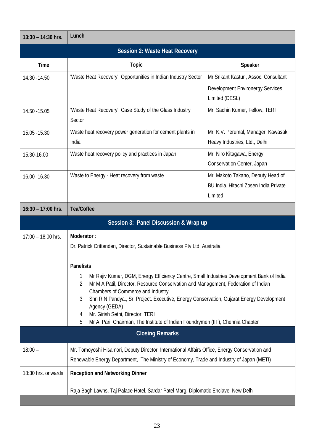| $13:30 - 14:30$ hrs.                                                                 | Lunch                                                                                                                               |                                                                            |  |  |  |
|--------------------------------------------------------------------------------------|-------------------------------------------------------------------------------------------------------------------------------------|----------------------------------------------------------------------------|--|--|--|
| <b>Session 2: Waste Heat Recovery</b>                                                |                                                                                                                                     |                                                                            |  |  |  |
| <b>Time</b>                                                                          | <b>Topic</b>                                                                                                                        | Speaker                                                                    |  |  |  |
| 14.30 - 14.50                                                                        | 'Waste Heat Recovery': Opportunities in Indian Industry Sector                                                                      | Mr Srikant Kasturi, Assoc. Consultant                                      |  |  |  |
|                                                                                      |                                                                                                                                     | Development Environergy Services                                           |  |  |  |
|                                                                                      |                                                                                                                                     | Limited (DESL)                                                             |  |  |  |
| 14.50 - 15.05                                                                        | 'Waste Heat Recovery': Case Study of the Glass Industry<br>Sector                                                                   | Mr. Sachin Kumar, Fellow, TERI                                             |  |  |  |
| 15.05 - 15.30                                                                        | Waste heat recovery power generation for cement plants in<br>India                                                                  | Mr. K.V. Perumal, Manager, Kawasaki<br>Heavy Industries, Ltd., Delhi       |  |  |  |
| 15.30-16.00                                                                          | Waste heat recovery policy and practices in Japan                                                                                   | Mr. Niro Kitagawa, Energy                                                  |  |  |  |
|                                                                                      |                                                                                                                                     | Conservation Center, Japan                                                 |  |  |  |
| 16.00 - 16.30                                                                        | Waste to Energy - Heat recovery from waste                                                                                          | Mr. Makoto Takano, Deputy Head of<br>BU India, Hitachi Zosen India Private |  |  |  |
|                                                                                      |                                                                                                                                     | Limited                                                                    |  |  |  |
| $16:30 - 17:00$ hrs.                                                                 | <b>Tea/Coffee</b>                                                                                                                   |                                                                            |  |  |  |
|                                                                                      | Session 3: Panel Discussion & Wrap up                                                                                               |                                                                            |  |  |  |
| $17:00 - 18:00$ hrs.                                                                 | Moderator:                                                                                                                          |                                                                            |  |  |  |
|                                                                                      | Dr. Patrick Crittenden, Director, Sustainable Business Pty Ltd, Australia                                                           |                                                                            |  |  |  |
|                                                                                      |                                                                                                                                     |                                                                            |  |  |  |
|                                                                                      | <b>Panelists</b><br>Mr Rajiv Kumar, DGM, Energy Efficiency Centre, Small Industries Development Bank of India<br>1                  |                                                                            |  |  |  |
|                                                                                      | Mr M A Patil, Director, Resource Conservation and Management, Federation of Indian<br>2                                             |                                                                            |  |  |  |
|                                                                                      | Chambers of Commerce and Industry<br>Shri R N Pandya., Sr. Project. Executive, Energy Conservation, Gujarat Energy Development<br>3 |                                                                            |  |  |  |
|                                                                                      | Agency (GEDA)<br>Mr. Girish Sethi, Director, TERI<br>4                                                                              |                                                                            |  |  |  |
| Mr A. Pari, Chairman, The Institute of Indian Foundrymen (IIF), Chennia Chapter<br>5 |                                                                                                                                     |                                                                            |  |  |  |
| <b>Closing Remarks</b>                                                               |                                                                                                                                     |                                                                            |  |  |  |
| $18:00 -$                                                                            | Mr. Tomoyoshi Hisamori, Deputy Director, International Affairs Office, Energy Conservation and                                      |                                                                            |  |  |  |
|                                                                                      | Renewable Energy Department, The Ministry of Economy, Trade and Industry of Japan (METI)                                            |                                                                            |  |  |  |
| 18:30 hrs. onwards                                                                   | <b>Reception and Networking Dinner</b>                                                                                              |                                                                            |  |  |  |
|                                                                                      | Raja Bagh Lawns, Taj Palace Hotel, Sardar Patel Marg, Diplomatic Enclave, New Delhi                                                 |                                                                            |  |  |  |
|                                                                                      |                                                                                                                                     |                                                                            |  |  |  |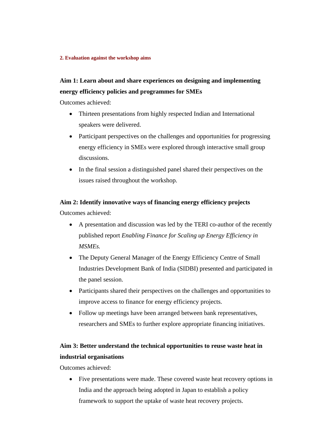#### **2. Evaluation against the workshop aims**

#### **Aim 1: Learn about and share experiences on designing and implementing energy efficiency policies and programmes for SMEs**

Outcomes achieved:

- Thirteen presentations from highly respected Indian and International speakers were delivered.
- Participant perspectives on the challenges and opportunities for progressing energy efficiency in SMEs were explored through interactive small group discussions.
- In the final session a distinguished panel shared their perspectives on the issues raised throughout the workshop.

#### **Aim 2: Identify innovative ways of financing energy efficiency projects**

Outcomes achieved:

- A presentation and discussion was led by the TERI co-author of the recently published report *Enabling Finance for Scaling up Energy Efficiency in MSMEs.*
- The Deputy General Manager of the Energy Efficiency Centre of Small Industries Development Bank of India (SIDBI) presented and participated in the panel session.
- Participants shared their perspectives on the challenges and opportunities to improve access to finance for energy efficiency projects.
- Follow up meetings have been arranged between bank representatives, researchers and SMEs to further explore appropriate financing initiatives.

#### **Aim 3: Better understand the technical opportunities to reuse waste heat in industrial organisations**

Outcomes achieved:

• Five presentations were made. These covered waste heat recovery options in India and the approach being adopted in Japan to establish a policy framework to support the uptake of waste heat recovery projects.